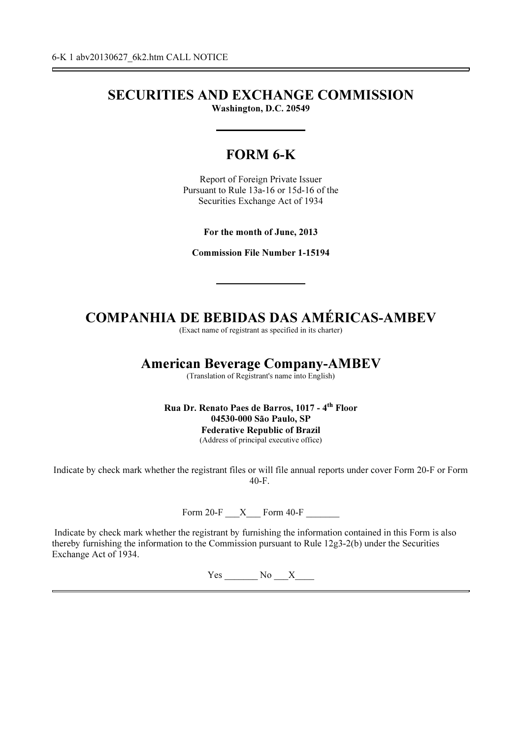# SECURITIES AND EXCHANGE COMMISSION

Washington, D.C. 20549

# FORM 6-K

Report of Foreign Private Issuer Pursuant to Rule 13a-16 or 15d-16 of the Securities Exchange Act of 1934

For the month of June, 2013

Commission File Number 1-15194

# COMPANHIA DE BEBIDAS DAS AMÉRICAS-AMBEV

(Exact name of registrant as specified in its charter)

## American Beverage Company-AMBEV

(Translation of Registrant's name into English)

Rua Dr. Renato Paes de Barros, 1017 - 4th Floor 04530-000 São Paulo, SP Federative Republic of Brazil (Address of principal executive office)

Indicate by check mark whether the registrant files or will file annual reports under cover Form 20-F or Form 40-F.

Form 20-F  $\quad$  X  $\quad$  Form 40-F

Indicate by check mark whether the registrant by furnishing the information contained in this Form is also thereby furnishing the information to the Commission pursuant to Rule 12g3-2(b) under the Securities Exchange Act of 1934.

Yes No X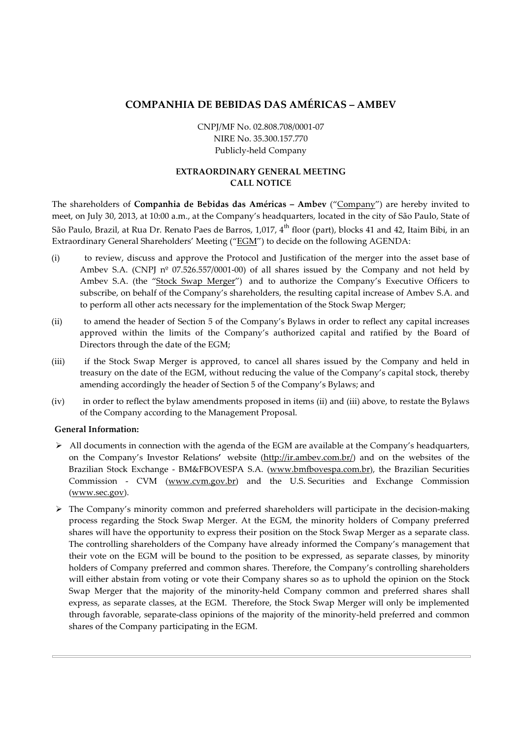### COMPANHIA DE BEBIDAS DAS AMÉRICAS – AMBEV

CNPJ/MF No. 02.808.708/0001-07 NIRE No. 35.300.157.770 Publicly-held Company

### EXTRAORDINARY GENERAL MEETING CALL NOTICE

The shareholders of Companhia de Bebidas das Américas – Ambev ("Company") are hereby invited to meet, on July 30, 2013, at 10:00 a.m., at the Company's headquarters, located in the city of São Paulo, State of São Paulo, Brazil, at Rua Dr. Renato Paes de Barros, 1,017, 4<sup>th</sup> floor (part), blocks 41 and 42, Itaim Bibi, in an Extraordinary General Shareholders' Meeting ("EGM") to decide on the following AGENDA:

- (i) to review, discuss and approve the Protocol and Justification of the merger into the asset base of Ambev S.A. (CNPJ  $n^{\circ}$  07.526.557/0001-00) of all shares issued by the Company and not held by Ambev S.A. (the "Stock Swap Merger") and to authorize the Company's Executive Officers to subscribe, on behalf of the Company's shareholders, the resulting capital increase of Ambev S.A. and to perform all other acts necessary for the implementation of the Stock Swap Merger;
- (ii) to amend the header of Section 5 of the Company's Bylaws in order to reflect any capital increases approved within the limits of the Company's authorized capital and ratified by the Board of Directors through the date of the EGM;
- (iii) if the Stock Swap Merger is approved, to cancel all shares issued by the Company and held in treasury on the date of the EGM, without reducing the value of the Company's capital stock, thereby amending accordingly the header of Section 5 of the Company's Bylaws; and
- (iv) in order to reflect the bylaw amendments proposed in items (ii) and (iii) above, to restate the Bylaws of the Company according to the Management Proposal.

### General Information:

- > All documents in connection with the agenda of the EGM are available at the Company's headquarters, on the Company's Investor Relations' website (http://ir.ambev.com.br/) and on the websites of the Brazilian Stock Exchange - BM&FBOVESPA S.A. (www.bmfbovespa.com.br), the Brazilian Securities Commission - CVM (www.cvm.gov.br) and the U.S. Securities and Exchange Commission (www.sec.gov).
- $\triangleright$  The Company's minority common and preferred shareholders will participate in the decision-making process regarding the Stock Swap Merger. At the EGM, the minority holders of Company preferred shares will have the opportunity to express their position on the Stock Swap Merger as a separate class. The controlling shareholders of the Company have already informed the Company's management that their vote on the EGM will be bound to the position to be expressed, as separate classes, by minority holders of Company preferred and common shares. Therefore, the Company's controlling shareholders will either abstain from voting or vote their Company shares so as to uphold the opinion on the Stock Swap Merger that the majority of the minority-held Company common and preferred shares shall express, as separate classes, at the EGM. Therefore, the Stock Swap Merger will only be implemented through favorable, separate-class opinions of the majority of the minority-held preferred and common shares of the Company participating in the EGM.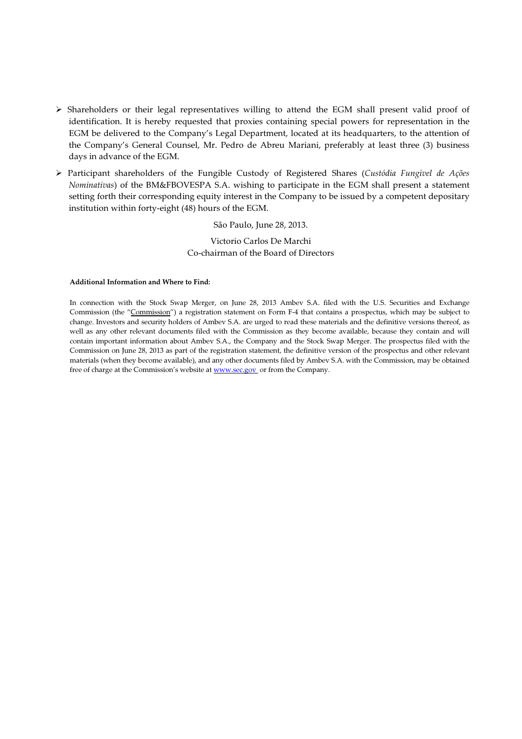- Shareholders or their legal representatives willing to attend the EGM shall present valid proof of identification. It is hereby requested that proxies containing special powers for representation in the EGM be delivered to the Company's Legal Department, located at its headquarters, to the attention of the Company's General Counsel, Mr. Pedro de Abreu Mariani, preferably at least three (3) business days in advance of the EGM.
- $\triangleright$  Participant shareholders of the Fungible Custody of Registered Shares (Custódia Fungível de Ações Nominativas) of the BM&FBOVESPA S.A. wishing to participate in the EGM shall present a statement setting forth their corresponding equity interest in the Company to be issued by a competent depositary institution within forty-eight (48) hours of the EGM.

#### São Paulo, June 28, 2013.

#### Victorio Carlos De Marchi Co-chairman of the Board of Directors

#### Additional Information and Where to Find:

In connection with the Stock Swap Merger, on June 28, 2013 Ambev S.A. filed with the U.S. Securities and Exchange Commission (the "Commission") a registration statement on Form F-4 that contains a prospectus, which may be subject to change. Investors and security holders of Ambev S.A. are urged to read these materials and the definitive versions thereof, as well as any other relevant documents filed with the Commission as they become available, because they contain and will contain important information about Ambev S.A., the Company and the Stock Swap Merger. The prospectus filed with the Commission on June 28, 2013 as part of the registration statement, the definitive version of the prospectus and other relevant materials (when they become available), and any other documents filed by Ambev S.A. with the Commission, may be obtained free of charge at the Commission's website at **WWW.Sec.gov** or from the Company.